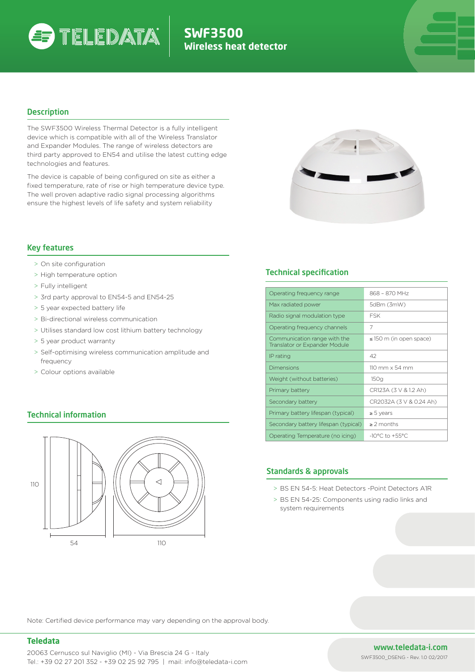

# **SWF3500 Wireless heat detector**

## **Description**

The SWF3500 Wireless Thermal Detector is a fully intelligent device which is compatible with all of the Wireless Translator and Expander Modules. The range of wireless detectors are third party approved to EN54 and utilise the latest cutting edge technologies and features.

The device is capable of being configured on site as either a fixed temperature, rate of rise or high temperature device type. The well proven adaptive radio signal processing algorithms ensure the highest levels of life safety and system reliability



## Key features

- > On site configuration
- > High temperature option
- > Fully intelligent
- > 3rd party approval to EN54-5 and EN54-25
- > 5 year expected battery life
- > Bi-directional wireless communication
- > Utilises standard low cost lithium battery technology
- > 5 year product warranty
- > Self-optimising wireless communication amplitude and frequency
- > Colour options available

## Technical information



## **Technical specification**

| Operating frequency range                                     | 868 - 870 MHz                         |
|---------------------------------------------------------------|---------------------------------------|
| Max radiated power                                            | 5dBm (3mW)                            |
| Radio signal modulation type                                  | <b>FSK</b>                            |
| Operating frequency channels                                  | 7                                     |
| Communication range with the<br>Translator or Expander Module | $\leq$ 150 m (in open space)          |
| IP rating                                                     | 42                                    |
| Dimensions                                                    | $110 \text{ mm} \times 54 \text{ mm}$ |
| Weight (without batteries)                                    | 150q                                  |
| Primary battery                                               | CR123A (3 V & 1.2 Ah)                 |
| Secondary battery                                             | CR2032A (3 V & 0.24 Ah)               |
| Primary battery lifespan (typical)                            | $\geq 5$ years                        |
| Secondary battery lifespan (typical)                          | $\geq$ 2 months                       |
| Operating Temperature (no icing)                              | $-10^{\circ}$ C to $+55^{\circ}$ C    |

## Standards & approvals

- > BS EN 54-5: Heat Detectors -Point Detectors A1R
- > BS EN 54-25: Components using radio links and system requirements

Note: Certified device performance may vary depending on the approval body.

#### **Teledata**

## www.teledata-i.com

SWF3500\_DSENG - Rev. 1.0 02/2017